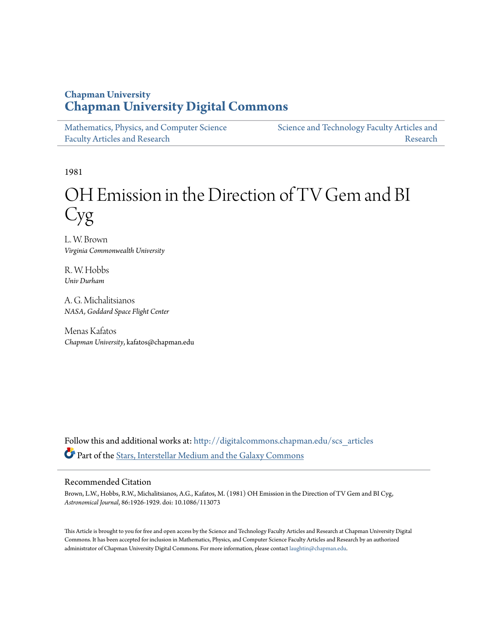## **Chapman University [Chapman University Digital Commons](http://digitalcommons.chapman.edu?utm_source=digitalcommons.chapman.edu%2Fscs_articles%2F132&utm_medium=PDF&utm_campaign=PDFCoverPages)**

| Mathematics, Physics, and Computer Science | Science and Technology Faculty Articles and |
|--------------------------------------------|---------------------------------------------|
| <b>Faculty Articles and Research</b>       | Research                                    |

1981

# OH Emission in the Direction of TV Gem and BI Cyg

L. W. Brown *Virginia Commonwealth University*

R. W. Hobbs *Univ Durham*

A. G. Michalitsianos *NASA, Goddard Space Flight Center*

Menas Kafatos *Chapman University*, kafatos@chapman.edu

Follow this and additional works at: [http://digitalcommons.chapman.edu/scs\\_articles](http://digitalcommons.chapman.edu/scs_articles?utm_source=digitalcommons.chapman.edu%2Fscs_articles%2F132&utm_medium=PDF&utm_campaign=PDFCoverPages) Part of the [Stars, Interstellar Medium and the Galaxy Commons](http://network.bepress.com/hgg/discipline/127?utm_source=digitalcommons.chapman.edu%2Fscs_articles%2F132&utm_medium=PDF&utm_campaign=PDFCoverPages)

## Recommended Citation

Brown, L.W., Hobbs, R.W., Michalitsianos, A.G., Kafatos, M. (1981) OH Emission in the Direction of TV Gem and BI Cyg, *Astronomical Journal*, 86:1926-1929. doi: 10.1086/113073

This Article is brought to you for free and open access by the Science and Technology Faculty Articles and Research at Chapman University Digital Commons. It has been accepted for inclusion in Mathematics, Physics, and Computer Science Faculty Articles and Research by an authorized administrator of Chapman University Digital Commons. For more information, please contact [laughtin@chapman.edu.](mailto:laughtin@chapman.edu)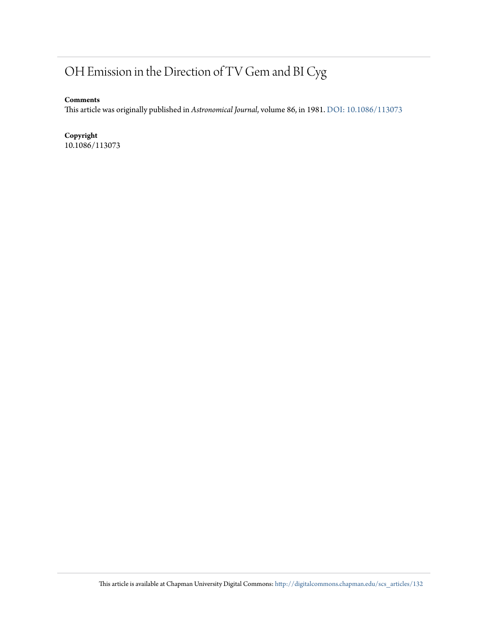# OH Emission in the Direction of TV Gem and BI Cyg

### **Comments**

This article was originally published in *Astronomical Journal*, volume 86, in 1981. [DOI: 10.1086/113073](http://dx.doi.org/10.1086/113073)

## **Copyright**

10.1086/113073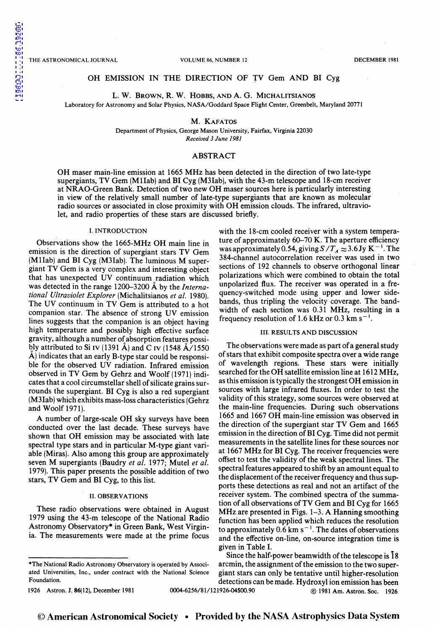### OH EMISSION IN THE DIRECTION OF TV Gem AND BI Cyg

L. W. BROWN, R. W. HOBBS, AND A. G. MICHALITSIANOS

Laboratory for Astronomy and Solar Physics, NASA/Goddard Space Flight Center, Greenbelt, Maryland 20771

M. KAFATOS

Department of Physics, George Mason University, Fairfax, Virginia 22030 *Received 3 June 1981* 

## ABSTRACT

OH maser main-line emission at 1665 MHz has been detected in the direction of two late-type supergiants, TV Gem (Mllab) and BI Cyg (M3Iab), with the 43-m telescope and 18-cm receiver at NRAO-Green Bank. Detection of two new OH maser sources here is particularly interesting in view of the relatively small number of late-type supergiants that are known as molecular radio sources or associated in close proximity with OH emission clouds. The infrared, ultraviolet, and radio properties of these stars are discussed briefly.

#### I. INTRODUCTION

Observations show the 1665-MHz OH main line in emission is the direction of supergiant stars TV Gem (Mllab) and BI Cyg (M3Iab). The luminous M supergiant TV Gem is a very complex and interesting object that has unexpected UV continuum radiation which was detected in the range 1200-3200 A by the *International Ultraviolet Explorer* (Michalitsianos *et a/.* 1980). The UV continuum in TV Gem is attributed to a hot companion star. The absence of strong UV emission lines suggests that the companion is an object having high temperature and possibly high effective surface gravity, although a number of absorption features possi bly attributed to Si IV (1391 A) and C IV (1548  $\AA$ /1550 A) indicates that an early B-type star could be responsible for the observed UV radiation. Infrared emission observed in TV Gem by Gehrz and Woolf(1971) indicates that a cool circumstellar shell of silicate grains surrounds the supergiant. BI Cyg is also a red supergiant (M3Iab) which exhibits mass-loss characteristics (Gehrz and Woolf 1971).

A number of large-scale OH sky surveys have been conducted over the last decade. These surveys have shown that OH emission may be associated with late spectral type stars and in particular M-type giant variable (Miras). Also among this group are approximately seven M supergiants (Baudry et al. 1977; Mutel et al. 1979). This paper presents the possible addition of two stars, TV Gem and BI Cyg, to this list.

#### II. OBSERVATIONS

These radio observations were obtained in August 1979 using the 43-m telescope of the National Radio Astronomy Observatory\* in Green Bank, West Virginia. The measurements were made at the prime focus

with the 18-cm cooled receiver with a system temperature of approximately 60-70 K. The aperture efficiency was approximately 0.54, giving  $S/T_A \approx 3.6$  Jy K<sup>-1</sup>. The 384-channel autocorrelation receiver was used in two sections of 192 channels to observe orthogonal linear polarizations which were combined to obtain the total unpolarized flux. The receiver was operated in a frequency-switched mode using upper and lower sidebands, thus tripling the velocity coverage. The bandwidth of each section was 0.31 MHz, resulting in a frequency resolution of 1.6 kHz or 0.3 km  $s^{-1}$ .

#### III. RESULTS AND DISCUSSION

The observations were made as part of a general study of stars that exhibit composite spectra over a wide range of wavelength regions. These stars were initially searched for the OH satellite emission line at 1612 MHz, as this emission is typically the strongest OH emission in sources with large infrared fluxes. In order to test the validity of this strategy, some sources were observed at the main-line frequencies. During such observations 1665 and 1667 OH main-line emission was observed in the direction of the supergiant star TV Gem and 1665 emission in the direction of BI Cyg. Time did not permit measurements in the satellite lines for these sources nor at 1667 MHz for BI Cyg. The receiver frequencies were offset to test the validity of the weak spectral lines. The spectral features appeared to shift by an amount equal to the displacement of the receiver frequency and thus supports these detections as real and not an artifact of the receiver system. The combined spectra of the summation of all observations of TV Gem and BI Cyg for 1665 MHz are presented in Figs. 1-3. A Hanning smoothing function has been applied which reduces the resolution to approximately  $0.6$  km s<sup>-1</sup>. The dates of observations and the effective on-line, on-source integration time is given in Table I.

Since the half-power beamwidth of the telescope is 18 arcmin, the assignment of the emission to the two supergiant stars can only be tentative until higher-resolution detections can be made. Hydroxyl ion emission has been 1926 Astron. J. 86(12), December 1981 0004-6256/81/121926-04\$00.90 @ 1981 Am. Astron. Soc. 1926

<sup>\*</sup>The National Radio Astronomy Observatory is operated by Associated Universities, Inc., under contract with the National Science Foundation.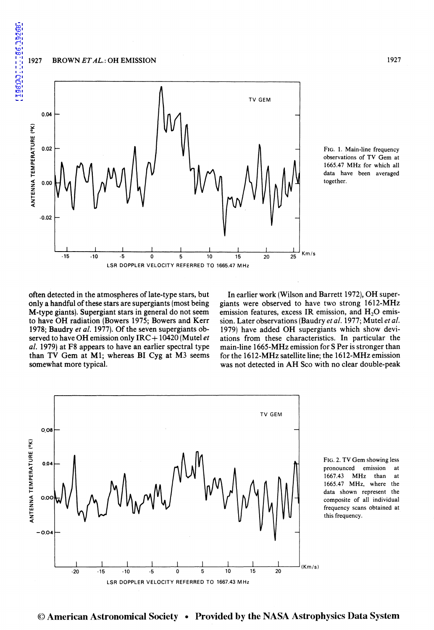#### 1927 BROWN *ET AL.:* OH EMISSION



FIG. I. Main-line frequency observations of TV Gem at 1665.47 MHz for which all data have been averaged together.

often detected in the atmospheres of late-type stars, but only a handful of these stars are supergiants (most being M-type giants). Supergiant stars in general do not seem to have OH radiation (Bowers 1975; Bowers and Kerr 1978; Baudry *et a!.* 1977). Of the seven supergiants observed to have OH emission only IRC+ 10420 (Mutel *et a!.* 1979) at F8 appears to have an earlier spectral type than TV Gem at M1; whereas BI Cyg at M3 seems somewhat more typical.

In earlier work (Wilson and Barrett 1972), OH supergiants were observed to have two strong 1612-MHz emission features, excess IR emission, and  $H_2O$  emission. Later observations (Baudry *eta!.* 1977; Mutel *eta!.*  1979) have added OH supergiants which show deviations from these characteristics. In particular the main-line 1665-MHz emission for S Per is stronger than for the 1612-MHz satellite line; the 1612-MHz emission was not detected in AH Sco with no clear double-peak



FIG. 2. TV Gem showing less pronounced emission at 1667.43 MHz than at 1665.47 MHz, where the data shown represent the composite of all individual frequency scans obtained at this frequency.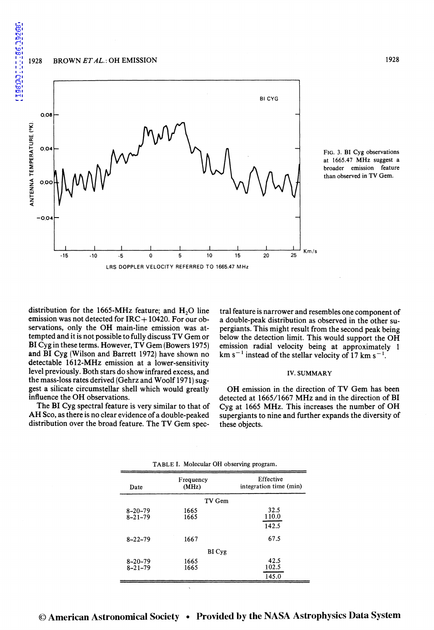1928 BROWN *ETAL.:* OH EMISSION





distribution for the 1665-MHz feature; and  $H<sub>2</sub>O$  line emission was not detected for  $IRC+10420$ . For our observations, only the OH main-line emission was attempted and it is not possible to fully discuss TV Gem or **BI** Cyg in these terms. However, TV Gem (Bowers 1975) and BI Cyg (Wilson and Barrett 1972) have shown no detectable 1612-MHz emission at a lower-sensitivity level previously. Both stars do show infrared excess, and the mass-loss rates derived (Gehrz and Woolf 1971) suggest a silicate circumstellar shell which would greatly influence the OH observations.

The BI Cyg spectral feature is very similar to that of AH Sco, as there is no clear evidence of a double-peaked distribution over the broad feature. The TV Gem spec-

tral feature is narrower and resembles one component of a double-peak distribution as observed in the other supergiants. This might result from the second peak being below the detection limit. This would support the OH emission radial velocity being at approximately 1 km s<sup>-1</sup> instead of the stellar velocity of 17 km s<sup>-1</sup>.

#### IV. SUMMARY

OH emission in the direction of TV Gem has been detected at 1665/1667 MHz and in the direction of BI Cyg at 1665 MHz. This increases the number of OH supergiants to nine and further expands the diversity of these objects.

| Date                           | Frequency<br>(MHz) | Effective<br>integration time (min) |
|--------------------------------|--------------------|-------------------------------------|
|                                | TV Gem             |                                     |
| $8 - 20 - 79$<br>$8 - 21 - 79$ | 1665<br>1665       | 32.5<br>110.0<br>142.5              |
| $8 - 22 - 79$                  | 1667               | 67.5                                |
|                                | BI Cyg             |                                     |
| $8 - 20 - 79$<br>$8 - 21 - 79$ | 1665<br>1665       | 42.5<br>102.5<br>145.0              |

TABLE I. Molecular OH observing program.

[1981AJ.....86.1926B](http://adsabs.harvard.edu/abs/1981AJ.....86.1926B)

1981AJ.....86.1926B